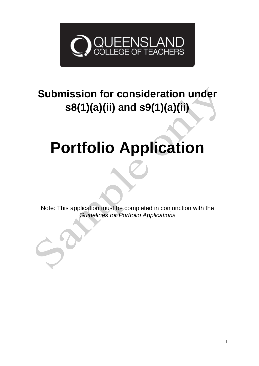

## **Submission for consideration under s8(1)(a)(ii) and s9(1)(a)(ii)**

# **Portfolio Application**

Note: This application must be completed in conjunction with the *Guidelines for Portfolio Applications*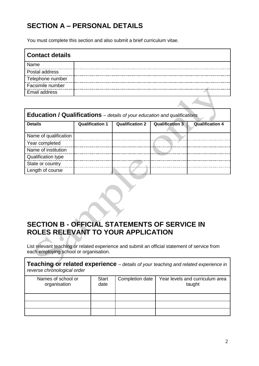## **SECTION A – PERSONAL DETAILS**

You must complete this section and also submit a brief curriculum vitae.

| <b>Contact details</b> |  |
|------------------------|--|
| Name                   |  |
| Postal address         |  |
| Telephone number       |  |
| Facsimile number       |  |
| <b>Email address</b>   |  |
|                        |  |

| <b>Education / Qualifications</b> – details of your education and qualifications |                        |                        |                        |                        |  |
|----------------------------------------------------------------------------------|------------------------|------------------------|------------------------|------------------------|--|
| <b>Details</b>                                                                   | <b>Qualification 1</b> | <b>Qualification 2</b> | <b>Qualification 3</b> | <b>Qualification 4</b> |  |
| Name of qualification                                                            |                        |                        |                        |                        |  |
| Year completed                                                                   |                        |                        |                        |                        |  |
| Name of institution                                                              |                        |                        |                        |                        |  |
| <b>Qualification type</b>                                                        |                        |                        |                        |                        |  |
| State or country                                                                 |                        |                        |                        |                        |  |
| Length of course                                                                 |                        |                        |                        |                        |  |

### **SECTION B - OFFICIAL STATEMENTS OF SERVICE IN ROLES RELEVANT TO YOUR APPLICATION**

List relevant teaching or related experience and submit an official statement of service from each employing school or organisation.

**Teaching or related experience** *– details of your teaching and related experience in reverse chronological order* Names of school or organisation **Start** date Completion date | Year levels and curriculum area taught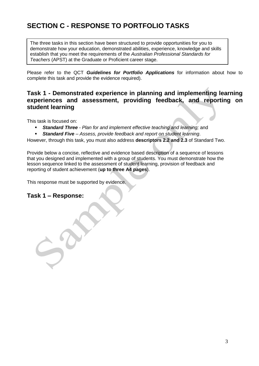## **SECTION C - RESPONSE TO PORTFOLIO TASKS**

The three tasks in this section have been structured to provide opportunities for you to demonstrate how your education, demonstrated abilities, experience, knowledge and skills establish that you meet the requirements of the *Australian Professional Standards for Teachers* (APST) at the Graduate or Proficient career stage.

Please refer to the QCT *Guidelines for Portfolio Applications* for information about how to complete this task and provide the evidence required).

#### **Task 1 - Demonstrated experience in planning and implementing learning experiences and assessment, providing feedback, and reporting on student learning**

This task is focused on:

- *Standard Three - Plan for and implement effective teaching and learning;* and
- *Standard Five – Assess, provide feedback and report on student learning*.

However, through this task, you must also address **descriptors 2.2 and 2.3** of Standard Two.

Provide below a concise, reflective and evidence based description of a sequence of lessons that you designed and implemented with a group of students. You must demonstrate how the lesson sequence linked to the assessment of student learning, provision of feedback and reporting of student achievement (**up to three A4 pages**).

This response must be supported by evidence.

#### **Task 1 – Response:**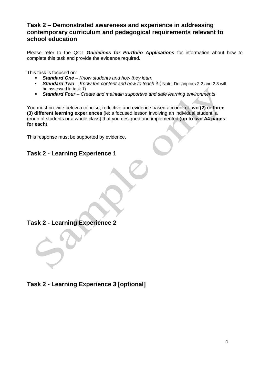#### **Task 2 – Demonstrated awareness and experience in addressing contemporary curriculum and pedagogical requirements relevant to school education**

Please refer to the QCT *Guidelines for Portfolio Applications* for information about how to complete this task and provide the evidence required.

This task is focused on:

- *Standard One – Know students and how they learn*
- **Standard Two** *Know the content and how to teach it* ( Note: Descriptors 2.2 and 2.3 will be assessed in task 1)
- *Standard Four – Create and maintain supportive and safe learning environments*

You must provide below a concise, reflective and evidence based account of **two (2)** or **three (3) different learning experiences** (ie: a focused lesson involving an individual student, a group of students or a whole class) that you designed and implemented (**up to two A4 pages for each**).

This response must be supported by evidence.

#### **Task 2 - Learning Experience 1**

#### **Task 2 - Learning Experience 2**

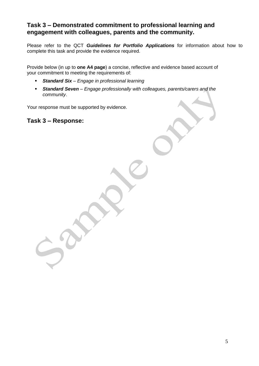#### **Task 3 – Demonstrated commitment to professional learning and engagement with colleagues, parents and the community.**

Please refer to the QCT *Guidelines for Portfolio Applications* for information about how to complete this task and provide the evidence required.

Provide below (in up to **one A4 page**) a concise, reflective and evidence based account of your commitment to meeting the requirements of:

- *Standard Six – Engage in professional learning*
- *Standard Seven – Engage professionally with colleagues, parents/carers and the community*.

Your response must be supported by evidence.

#### **Task 3 – Response:**